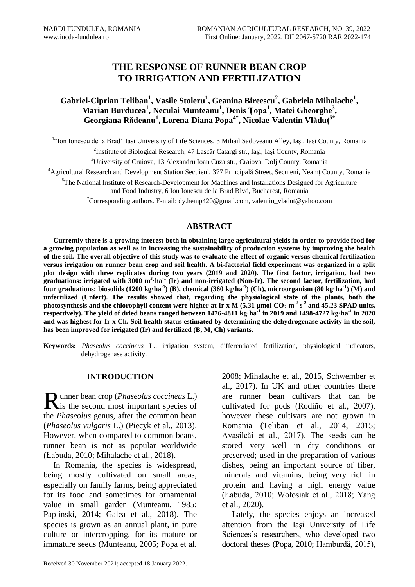# **THE RESPONSE OF RUNNER BEAN CROP TO IRRIGATION AND FERTILIZATION**

## **Gabriel-Ciprian Teliban<sup>1</sup> , Vasile Stoleru<sup>1</sup> , Geanina Bireescu<sup>2</sup> , Gabriela Mihalache<sup>1</sup> , Marian Burducea<sup>1</sup> , Neculai Munteanu<sup>1</sup> , Denis Țopa<sup>1</sup> , Matei Gheorghe<sup>3</sup> , Georgiana Rădeanu<sup>1</sup> , Lorena-Diana Popa 4\* , Nicolae-Valentin Vlăduț 5\***

<sup>1.</sup> Ion Ionescu de la Brad" Iasi University of Life Sciences, 3 Mihail Sadoveanu Alley, Iași, Iași County, Romania

2 Institute of Biological Research, 47 Lascăr Catargi str., Iaşi, Iaşi County, Romania

<sup>3</sup>University of Craiova, 13 Alexandru Ioan Cuza str., Craiova, Dolj County, Romania

<sup>4</sup>Agricultural Research and Development Station Secuieni, 377 Principală Street, Secuieni, Neamţ County, Romania

 $<sup>5</sup>$ The National Institute of Research-Development for Machines and Installations Designed for Agriculture</sup> and Food Industry, 6 Ion Ionescu de la Brad Blvd, Bucharest, Romania

**\***Corresponding authors. E-mail: dy.hemp420@gmail.com, valentin\_vladut@yahoo.com

### **ABSTRACT**

**Currently there is a growing interest both in obtaining large agricultural yields in order to provide food for a growing population as well as in increasing the sustainability of production systems by improving the health of the soil. The overall objective of this study was to evaluate the effect of organic versus chemical fertilization versus irrigation on runner bean crop and soil health. A bi-factorial field experiment was organized in a split plot design with three replicates during two years (2019 and 2020). The first factor, irrigation, had two graduations: irrigated with 3000 m<sup>3</sup> ·ha-1 (Ir) and non-irrigated (Non-Ir). The second factor, fertilization, had four graduations: biosolids (1200 kg·ha-1 ) (B), chemical (360 kg·ha -1 ) (Ch), microorganism (80 kg·ha-1 ) (M) and unfertilized (Unfert). The results showed that, regarding the physiological state of the plants, both the**  photosynthesis and the chlorophyll content were higher at Ir x M  $(5.31 \text{ }\mu\text{mol CO}_2 \text{ m}^2 \text{ s}^2)$  and  $45.23 \text{ SPAD units}$ , **respectively). The yield of dried beans ranged between 1476-4811 kg·ha-1 in 2019 and 1498-4727 kg·ha-1 in 2020 and was highest for Ir x Ch. Soil health status estimated by determining the dehydrogenase activity in the soil, has been improved for irrigated (Ir) and fertilized (B, M, Ch) variants.**

**Keywords:** *Phaseolus coccineus* L., irrigation system, differentiated fertilization, physiological indicators, dehydrogenase activity.

### **INTRODUCTION**

unner bean crop (*Phaseolus coccineus* L.) Runner bean crop (Phaseolus coccineus L.)<br>
is the second most important species of the *Phaseolus* genus, after the common bean (*Phaseolus vulgaris* L.) (Piecyk et al., 2013). However, when compared to common beans, runner bean is not as popular worldwide (Łabuda, 2010; Mihalache et al., 2018).

In Romania, the species is widespread, being mostly cultivated on small areas, especially on family farms, being appreciated for its food and sometimes for ornamental value in small garden (Munteanu, 1985; Paplinski, 2014; Galea et al., 2018). The species is grown as an annual plant, in pure culture or intercropping, for its mature or immature seeds (Munteanu, 2005; Popa et al.

2008; Mihalache et al., 2015, Schwember et al., 2017). In UK and other countries there are runner bean cultivars that can be cultivated for pods (Rodiño et al., 2007), however these cultivars are not grown in Romania (Teliban et al., 2014, 2015; Avasilcăi et al., 2017). The seeds can be stored very well in dry conditions or preserved; used in the preparation of various dishes, being an important source of fiber, minerals and vitamins, being very rich in protein and having a high energy value (Łabuda, 2010; Wołosiak et al., 2018; Yang et al., 2020).

Lately, the species enjoys an increased attention from the Iaşi University of Life Sciences's researchers, who developed two doctoral theses (Popa, 2010; Hamburdă, 2015),

 $\mathcal{L}_\text{max}$  and  $\mathcal{L}_\text{max}$  and  $\mathcal{L}_\text{max}$  and  $\mathcal{L}_\text{max}$ 

Received 30 November 2021; accepted 18 January 2022.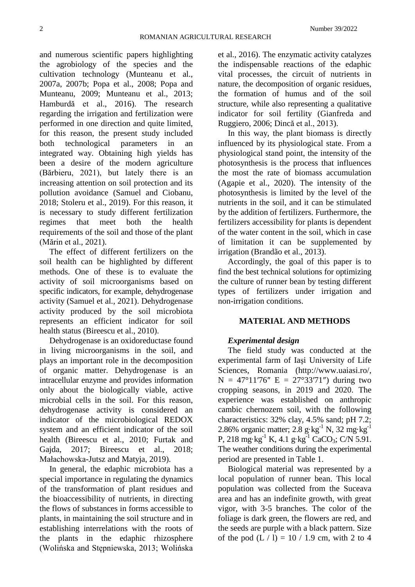and numerous scientific papers highlighting the agrobiology of the species and the cultivation technology (Munteanu et al., 2007a, 2007b; Popa et al., 2008; Popa and Munteanu, 2009; Munteanu et al., 2013; Hamburdă et al., 2016). The research regarding the irrigation and fertilization were performed in one direction and quite limited, for this reason, the present study included both technological parameters in an integrated way. Obtaining high yields has been a desire of the modern agriculture (Bărbieru, 2021), but lately there is an increasing attention on soil protection and its pollution avoidance (Samuel and Ciobanu, 2018; Stoleru et al., 2019). For this reason, it is necessary to study different fertilization regimes that meet both the health requirements of the soil and those of the plant (Mărin et al., 2021).

The effect of different fertilizers on the soil health can be highlighted by different methods. One of these is to evaluate the activity of soil microorganisms based on specific indicators, for example, dehydrogenase activity (Samuel et al., 2021). Dehydrogenase activity produced by the soil microbiota represents an efficient indicator for soil health status (Bireescu et al., 2010).

Dehydrogenase is an oxidoreductase found in living microorganisms in the soil, and plays an important role in the decomposition of organic matter. Dehydrogenase is an intracellular enzyme and provides information only about the biologically viable, active microbial cells in the soil. For this reason, dehydrogenase activity is considered an indicator of the microbiological REDOX system and an efficient indicator of the soil health (Bireescu et al., 2010; Furtak and Gajda, 2017; Bireescu et al., 2018; Małachowska-Jutsz and Matyja, 2019).

In general, the edaphic microbiota has a special importance in regulating the dynamics of the transformation of plant residues and the bioaccessibility of nutrients, in directing the flows of substances in forms accessible to plants, in maintaining the soil structure and in establishing interrelations with the roots of the plants in the edaphic rhizosphere (Wolińska and Stępniewska, 2013; Wolińska et al., 2016). The enzymatic activity catalyzes the indispensable reactions of the edaphic vital processes, the circuit of nutrients in nature, the decomposition of organic residues, the formation of humus and of the soil structure, while also representing a qualitative indicator for soil fertility (Gianfreda and Ruggiero, 2006; Dincă et al., 2013).

In this way, the plant biomass is directly influenced by its physiological state. From a physiological stand point, the intensity of the photosynthesis is the process that influences the most the rate of biomass accumulation (Agapie et al., 2020). The intensity of the photosynthesis is limited by the level of the nutrients in the soil, and it can be stimulated by the addition of fertilizers. Furthermore, the fertilizers accessibility for plants is dependent of the water content in the soil, which in case of limitation it can be supplemented by irrigation (Brandão et al., 2013).

Accordingly, the goal of this paper is to find the best technical solutions for optimizing the culture of runner bean by testing different types of fertilizers under irrigation and non-irrigation conditions.

### **MATERIAL AND METHODS**

### *Experimental design*

The field study was conducted at the experimental farm of Iaşi University of Life Sciences, Romania [\(http://www.uaiasi.ro/,](http://www.uaiasi.ro/)  $N = 47^{\circ}11'76''$  E = 27°33′71″) during two cropping seasons, in 2019 and 2020. The experience was established on anthropic cambic chernozem soil, with the following characteristics: 32% clay, 4.5% sand; pH 7.2; 2.86% organic matter;  $2.8$  g·kg<sup>-1</sup> N,  $32 \text{ mg} \cdot \text{kg}^{-1}$ P, 218 mg·kg<sup>-1</sup> K, 4.1 g·kg<sup>-1</sup> CaCO<sub>3</sub>; C/N 5.91. The weather conditions during the experimental period are presented in Table 1.

Biological material was represented by a local population of runner bean. This local population was collected from the Suceava area and has an indefinite growth, with great vigor, with 3-5 branches. The color of the foliage is dark green, the flowers are red, and the seeds are purple with a black pattern. Size of the pod  $(L / l) = 10 / 1.9$  cm, with 2 to 4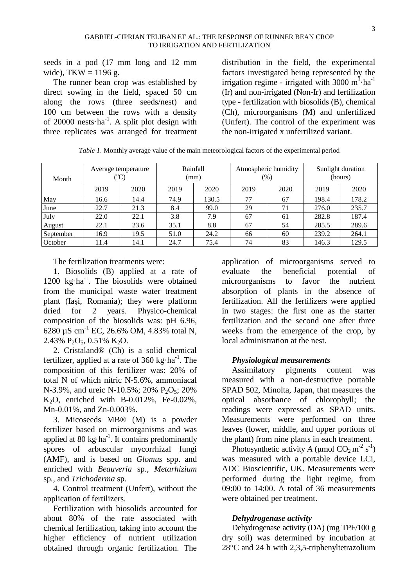seeds in a pod (17 mm long and 12 mm wide),  $TKW = 1196$  g.

The runner bean crop was established by direct sowing in the field, spaced 50 cm along the rows (three seeds/nest) and 100 cm between the rows with a density of 20000 nests $\cdot$ ha<sup>-1</sup>. A split plot design with three replicates was arranged for treatment

distribution in the field, the experimental factors investigated being represented by the irrigation regime - irrigated with 3000  $m^3$ ·ha<sup>-1</sup> (Ir) and non-irrigated (Non-Ir) and fertilization type - fertilization with biosolids (B), chemical (Ch), microorganisms (M) and unfertilized (Unfert). The control of the experiment was the non-irrigated x unfertilized variant.

*Table 1*. Monthly average value of the main meteorological factors of the experimental period

| Month     | Average temperature |      | Rainfall<br>(mm) |       | Atmospheric humidity<br>$(\%)$ |      | Sunlight duration<br>(hours) |       |
|-----------|---------------------|------|------------------|-------|--------------------------------|------|------------------------------|-------|
|           | 2019                | 2020 | 2019             | 2020  | 2019                           | 2020 | 2019                         | 2020  |
| May       | 16.6                | 14.4 | 74.9             | 130.5 | 77                             | 67   | 198.4                        | 178.2 |
| June      | 22.7                | 21.3 | 8.4              | 99.0  | 29                             | 71   | 276.0                        | 235.7 |
| July      | 22.0                | 22.1 | 3.8              | 7.9   | 67                             | 61   | 282.8                        | 187.4 |
| August    | 22.1                | 23.6 | 35.1             | 8.8   | 67                             | 54   | 285.5                        | 289.6 |
| September | 16.9                | 19.5 | 51.0             | 24.2  | 66                             | 60   | 239.2                        | 264.1 |
| October   | 11.4                | 14.1 | 24.7             | 75.4  | 74                             | 83   | 146.3                        | 129.5 |

The fertilization treatments were:

1. Biosolids (B) applied at a rate of 1200 kg·ha<sup>-1</sup>. The biosolids were obtained from the municipal waste water treatment plant (Iaşi, Romania); they were platform dried for 2 years. Physico-chemical composition of the biosolids was: pH 6.96, 6280  $\mu$ S cm<sup>-1</sup> EC, 26.6% OM, 4.83% total N, 2.43%  $P_2O_5$ , 0.51% K<sub>2</sub>O.

2. Cristaland® (Ch) is a solid chemical fertilizer, applied at a rate of  $360 \text{ kg} \cdot \text{ha}^{-1}$ . The composition of this fertilizer was: 20% of total N of which nitric N-5.6%, ammoniacal N-3.9%, and ureic N-10.5%; 20% P<sub>2</sub>O<sub>5</sub>; 20% K2O, enriched with B-0.012%, Fe-0.02%, Mn-0.01%, and Zn-0.003%.

3. Micoseeds MB® (M) is a powder fertilizer based on microorganisms and was applied at 80  $kg \cdot ha^{-1}$ . It contains predominantly spores of arbuscular mycorrhizal fungi (AMF), and is based on *Glomus* spp. and enriched with *Beauveria* sp.*, Metarhizium*  sp*.,* and *Trichoderma* sp.

4. Control treatment (Unfert), without the application of fertilizers.

Fertilization with biosolids accounted for about 80% of the rate associated with chemical fertilization, taking into account the higher efficiency of nutrient utilization obtained through organic fertilization. The

application of microorganisms served to evaluate the beneficial potential of microorganisms to favor the nutrient absorption of plants in the absence of fertilization. All the fertilizers were applied in two stages: the first one as the starter fertilization and the second one after three weeks from the emergence of the crop, by local administration at the nest.

### *Physiological measurements*

Assimilatory pigments content was measured with a non-destructive portable SPAD 502, Minolta, Japan, that measures the optical absorbance of chlorophyll; the readings were expressed as SPAD units. Measurements were performed on three leaves (lower, middle, and upper portions of the plant) from nine plants in each treatment.

Photosynthetic activity *A* (µmol  $CO_2 m^2 s^1$ ) was measured with a portable device LCi, ADC Bioscientific, UK. Measurements were performed during the light regime, from 09:00 to 14:00. A total of 36 measurements were obtained per treatment.

### *Dehydrogenase activity*

Dehydrogenase activity (DA) (mg TPF/100 g dry soil) was determined by incubation at 28°C and 24 h with 2,3,5-triphenyltetrazolium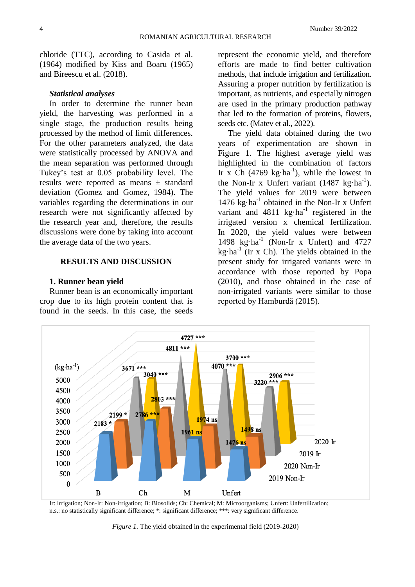chloride (TTC), according to Casida et al. (1964) modified by Kiss and Boaru (1965) and Bireescu et al. (2018).

#### *Statistical analyses*

In order to determine the runner bean yield, the harvesting was performed in a single stage, the production results being processed by the method of limit differences. For the other parameters analyzed, the data were statistically processed by ANOVA and the mean separation was performed through Tukey's test at 0.05 probability level. The results were reported as means ± standard deviation (Gomez and Gomez, 1984). The variables regarding the determinations in our research were not significantly affected by the research year and, therefore, the results discussions were done by taking into account the average data of the two years.

### **RESULTS AND DISCUSSION**

#### **1. Runner bean yield**

Runner bean is an economically important crop due to its high protein content that is found in the seeds. In this case, the seeds

represent the economic yield, and therefore efforts are made to find better cultivation methods, that include irrigation and fertilization. Assuring a proper nutrition by fertilization is important, as nutrients, and especially nitrogen are used in the primary production pathway that led to the formation of proteins, flowers, seeds etc. (Matev et al., 2022).

The yield data obtained during the two years of experimentation are shown in Figure 1. The highest average yield was highlighted in the combination of factors Ir x Ch  $(4769 \text{ kg} \cdot \text{ha}^{-1})$ , while the lowest in the Non-Ir x Unfert variant  $(1487 \text{ kg} \cdot \text{ha}^{-1})$ . The yield values for 2019 were between 1476 kg·ha<sup>-1</sup> obtained in the Non-Ir x Unfert variant and  $4811 \text{ kg} \cdot \text{ha}^{-1}$  registered in the irrigated version x chemical fertilization. In 2020, the yield values were between 1498 kg·ha<sup>-1</sup> (Non-Ir x Unfert) and 4727 kg·ha-1 (Ir x Ch). The yields obtained in the present study for irrigated variants were in accordance with those reported by Popa (2010), and those obtained in the case of non-irrigated variants were similar to those reported by Hamburdă (2015).



Ir: Irrigation; Non-Ir: Non-irrigation; B: Biosolids; Ch: Chemical; M: Microorganisms; Unfert: Unfertilization; n.s.: no statistically significant difference; \*: significant difference; \*\*\*: very significant difference.

*Figure 1.* The yield obtained in the experimental field (2019-2020)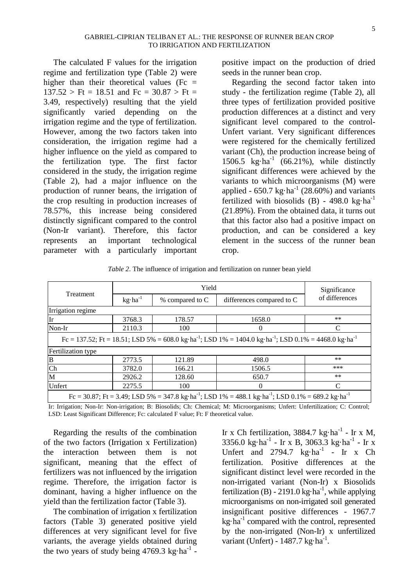The calculated F values for the irrigation regime and fertilization type (Table 2) were higher than their theoretical values (Fc  $=$  $137.52 > \text{Ft} = 18.51$  and  $\text{Fc} = 30.87 > \text{Ft} =$ 3.49, respectively) resulting that the yield significantly varied depending on the irrigation regime and the type of fertilization. However, among the two factors taken into consideration, the irrigation regime had a higher influence on the yield as compared to the fertilization type. The first factor considered in the study, the irrigation regime (Table 2), had a major influence on the production of runner beans, the irrigation of the crop resulting in production increases of 78.57%, this increase being considered distinctly significant compared to the control (Non-Ir variant). Therefore, this factor represents an important technological parameter with a particularly important positive impact on the production of dried seeds in the runner bean crop.

Regarding the second factor taken into study - the fertilization regime (Table 2), all three types of fertilization provided positive production differences at a distinct and very significant level compared to the control-Unfert variant. Very significant differences were registered for the chemically fertilized variant (Ch), the production increase being of 1506.5  $\text{kg} \cdot \text{ha}^{-1}$  (66.21%), while distinctly significant differences were achieved by the variants to which microorganisms (M) were applied -  $650.7 \text{ kg} \cdot \text{ha}^{-1}$  (28.60%) and variants fertilized with biosolids (B) - 498.0 kg $\cdot$ ha<sup>-1</sup> (21.89%). From the obtained data, it turns out that this factor also had a positive impact on production, and can be considered a key element in the success of the runner bean crop.

*Table 2*. The influence of irrigation and fertilization on runner bean yield

|                                                                                                                                           |                    | Significance    |                           |                |  |  |  |  |
|-------------------------------------------------------------------------------------------------------------------------------------------|--------------------|-----------------|---------------------------|----------------|--|--|--|--|
| Treatment                                                                                                                                 | $kg \cdot ha^{-1}$ | % compared to C | differences compared to C | of differences |  |  |  |  |
| Irrigation regime                                                                                                                         |                    |                 |                           |                |  |  |  |  |
| Ir                                                                                                                                        | 3768.3             | 178.57          | 1658.0                    | $***$          |  |  |  |  |
| Non-Ir                                                                                                                                    | 2110.3             | 100             | $\theta$                  | C              |  |  |  |  |
| Fc = 137.52; Ft = 18.51; LSD 5% = 608.0 kg·ha <sup>-1</sup> ; LSD 1% = 1404.0 kg·ha <sup>-1</sup> ; LSD 0.1% = 4468.0 kg·ha <sup>-1</sup> |                    |                 |                           |                |  |  |  |  |
| Fertilization type                                                                                                                        |                    |                 |                           |                |  |  |  |  |
| B                                                                                                                                         | 2773.5             | 121.89          | 498.0                     | $***$          |  |  |  |  |
| Ch                                                                                                                                        | 3782.0             | 166.21          | 1506.5                    | ***            |  |  |  |  |
| M                                                                                                                                         | 2926.2             | 128.60          | 650.7                     | $***$          |  |  |  |  |
| Unfert                                                                                                                                    | 2275.5             | 100             | $\Omega$                  | C              |  |  |  |  |
| $Fc = 30.87$ ; Ft = 3.49; LSD 5% = 347.8 kg·ha <sup>-1</sup> ; LSD 1% = 488.1 kg·ha <sup>-1</sup> ; LSD 0.1% = 689.2 kg·ha <sup>-1</sup>  |                    |                 |                           |                |  |  |  |  |

Ir: Irrigation; Non-Ir: Non-irrigation; B: Biosolids; Ch: Chemical; M: Microorganisms; Unfert: Unfertilization; C: Control;

LSD: Least Significant Difference; Fc: calculated F value; Ft: F theoretical value.

Regarding the results of the combination of the two factors (Irrigation x Fertilization) the interaction between them is not significant, meaning that the effect of fertilizers was not influenced by the irrigation regime. Therefore, the irrigation factor is dominant, having a higher influence on the yield than the fertilization factor (Table 3).

The combination of irrigation x fertilization factors (Table 3) generated positive yield differences at very significant level for five variants, the average yields obtained during the two years of study being  $4769.3 \text{ kg} \cdot \text{ha}^{-1}$  -

Ir x Ch fertilization,  $3884.7 \text{ kg} \cdot \text{ha}^{-1}$  - Ir x M, 3356.0 kg·ha<sup>-1</sup> - Ir x B, 3063.3 kg·ha<sup>-1</sup> - Ir x Unfert and  $2794.7 \text{ kg} \cdot \text{ha}^{-1}$  - Ir x Ch fertilization. Positive differences at the significant distinct level were recorded in the non-irrigated variant (Non-Ir) x Biosolids fertilization (B) - 2191.0 kg $\cdot$ ha<sup>-1</sup>, while applying microorganisms on non-irrigated soil generated insignificant positive differences - 1967.7 kg·ha<sup>-1</sup> compared with the control, represented by the non-irrigated (Non-Ir) x unfertilized variant (Unfert) - 1487.7 kg·ha<sup>-1</sup>.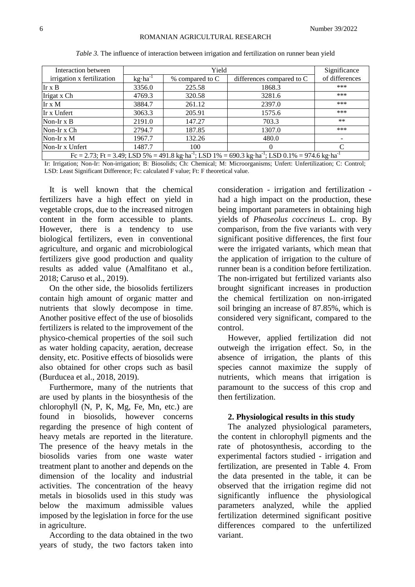| Interaction between                                                                                                                                 |                    | Significance                                 |          |                |  |
|-----------------------------------------------------------------------------------------------------------------------------------------------------|--------------------|----------------------------------------------|----------|----------------|--|
| irrigation x fertilization                                                                                                                          | $kg \cdot ha^{-1}$ | differences compared to C<br>% compared to C |          | of differences |  |
| Ir $x B$                                                                                                                                            | 3356.0             | 225.58                                       | 1868.3   | ***            |  |
| Irigat x Ch                                                                                                                                         | 4769.3             | 320.58                                       | 3281.6   | ***            |  |
| Ir $x M$                                                                                                                                            | 3884.7             | 261.12                                       | 2397.0   | ***            |  |
| Ir x Unfert                                                                                                                                         | 3063.3             | 205.91                                       | 1575.6   | ***            |  |
| Non-Ir $x B$                                                                                                                                        | 2191.0             | 147.27                                       | 703.3    | $***$          |  |
| Non-Ir x Ch                                                                                                                                         | 2794.7             | 187.85                                       | 1307.0   | ***            |  |
| Non-Ir $x M$                                                                                                                                        | 1967.7             | 132.26                                       | 480.0    |                |  |
| Non-Ir x Unfert                                                                                                                                     | 1487.7             | 100                                          | $\theta$ | $\mathcal{C}$  |  |
| $Fc = 2.73$ ; $Ft = 3.49$ ; LSD $5\% = 491.8$ kg·ha <sup>-1</sup> ; LSD $1\% = 690.3$ kg·ha <sup>-1</sup> ; LSD $0.1\% = 974.6$ kg·ha <sup>-1</sup> |                    |                                              |          |                |  |

*Table 3.* The influence of interaction between irrigation and fertilization on runner bean yield

Ir: Irrigation; Non-Ir: Non-irrigation; B: Biosolids; Ch: Chemical; M: Microorganisms; Unfert: Unfertilization; C: Control; LSD: Least Significant Difference; Fc: calculated F value; Ft: F theoretical value.

It is well known that the chemical fertilizers have a high effect on yield in vegetable crops, due to the increased nitrogen content in the form accessible to plants. However, there is a tendency to use biological fertilizers, even in conventional agriculture, and organic and microbiological fertilizers give good production and quality results as added value (Amalfitano et al., 2018; Caruso et al., 2019).

On the other side, the biosolids fertilizers contain high amount of organic matter and nutrients that slowly decompose in time. Another positive effect of the use of biosolids fertilizers is related to the improvement of the physico-chemical properties of the soil such as water holding capacity, aeration, decrease density, etc. Positive effects of biosolids were also obtained for other crops such as basil (Burducea et al., 2018, 2019).

Furthermore, many of the nutrients that are used by plants in the biosynthesis of the chlorophyll (N, P, K, Mg, Fe, Mn, etc.) are found in biosolids, however concerns regarding the presence of high content of heavy metals are reported in the literature. The presence of the heavy metals in the biosolids varies from one waste water treatment plant to another and depends on the dimension of the locality and industrial activities. The concentration of the heavy metals in biosolids used in this study was below the maximum admissible values imposed by the legislation in force for the use in agriculture.

According to the data obtained in the two years of study, the two factors taken into

consideration - irrigation and fertilization had a high impact on the production, these being important parameters in obtaining high yields of *Phaseolus coccineus* L. crop. By comparison, from the five variants with very significant positive differences, the first four were the irrigated variants, which mean that the application of irrigation to the culture of runner bean is a condition before fertilization. The non-irrigated but fertilized variants also brought significant increases in production the chemical fertilization on non-irrigated soil bringing an increase of 87.85%, which is considered very significant, compared to the control.

However, applied fertilization did not outweigh the irrigation effect. So, in the absence of irrigation, the plants of this species cannot maximize the supply of nutrients, which means that irrigation is paramount to the success of this crop and then fertilization.

#### **2. Physiological results in this study**

The analyzed physiological parameters, the content in chlorophyll pigments and the rate of photosynthesis, according to the experimental factors studied - irrigation and fertilization, are presented in Table 4. From the data presented in the table, it can be observed that the irrigation regime did not significantly influence the physiological parameters analyzed, while the applied fertilization determined significant positive differences compared to the unfertilized variant.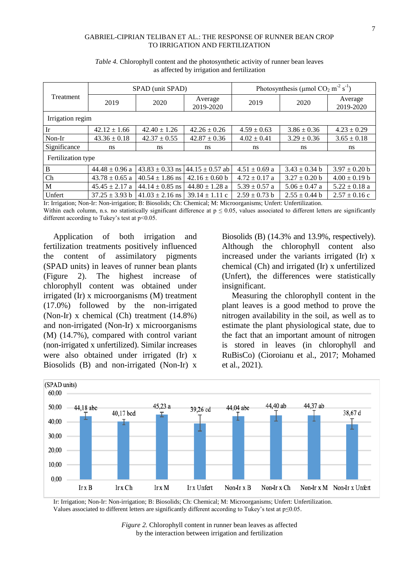#### GABRIEL-CIPRIAN TELIBAN ET AL.: THE RESPONSE OF RUNNER BEAN CROP TO IRRIGATION AND FERTILIZATION

| Treatment          |                                           | SPAD (unit SPAD)    |                      | Photosynthesis (µmol CO <sub>2</sub> m <sup>-2</sup> s <sup>-1</sup> ) |                   |                      |  |  |
|--------------------|-------------------------------------------|---------------------|----------------------|------------------------------------------------------------------------|-------------------|----------------------|--|--|
|                    | 2019                                      | 2020                | Average<br>2019-2020 | 2019                                                                   | 2020              | Average<br>2019-2020 |  |  |
| Irrigation regim   |                                           |                     |                      |                                                                        |                   |                      |  |  |
| Ir                 | $42.12 \pm 1.66$                          | $42.40 \pm 1.26$    | $42.26 \pm 0.26$     | $4.59 \pm 0.63$                                                        | $3.86 \pm 0.36$   | $4.23 \pm 0.29$      |  |  |
| Non-Ir             | $43.36 \pm 0.18$                          | $42.37 \pm 0.55$    | $42.87 \pm 0.36$     | $4.02 \pm 0.41$                                                        | $3.29 \pm 0.36$   | $3.65 \pm 0.18$      |  |  |
| Significance       | ns                                        | ns.                 | ns                   | ns                                                                     | ns                | ns                   |  |  |
| Fertilization type |                                           |                     |                      |                                                                        |                   |                      |  |  |
| B                  | $44.48 \pm 0.96$ a                        | $43.83 \pm 0.33$ ns | $44.15 \pm 0.57$ ab  | $4.51 \pm 0.69$ a                                                      | $3.43 \pm 0.34$ b | $3.97 \pm 0.20$ b    |  |  |
| Ch                 | $43.78 \pm 0.65$ a                        | $40.54 \pm 1.86$ ns | $42.16 \pm 0.60$ b   | $4.72 \pm 0.17$ a                                                      | $3.27 \pm 0.20$ b | $4.00 \pm 0.19$ b    |  |  |
| M                  | $45.45 \pm 2.17$ a<br>$44.14 \pm 0.85$ ns |                     | $44.80 \pm 1.28$ a   | $5.39 \pm 0.57$ a                                                      | $5.06 \pm 0.47$ a | $5.22 \pm 0.18$ a    |  |  |
| Unfert             | $37.25 \pm 3.93$ b                        | $41.03 \pm 2.16$ ns | $39.14 \pm 1.11$ c   | $2.59 \pm 0.73$ b                                                      | $2.55 \pm 0.44$ b | $2.57 \pm 0.16$ c    |  |  |

*Table 4.* Chlorophyll content and the photosynthetic activity of runner bean leaves as affected by irrigation and fertilization

Ir: Irrigation; Non-Ir: Non-irrigation; B: Biosolids; Ch: Chemical; M: Microorganisms; Unfert: Unfertilization. Within each column, n.s. no statistically significant difference at  $p \le 0.05$ , values associated to different letters are significantly different according to Tukey's test at  $p<0.05$ .

Application of both irrigation and fertilization treatments positively influenced the content of assimilatory pigments (SPAD units) in leaves of runner bean plants (Figure 2). The highest increase of chlorophyll content was obtained under irrigated (Ir) x microorganisms (M) treatment (17.0%) followed by the non-irrigated (Non-Ir) x chemical (Ch) treatment (14.8%) and non-irrigated (Non-Ir) x microorganisms (M) (14.7%), compared with control variant (non-irrigated x unfertilized). Similar increases were also obtained under irrigated (Ir) x Biosolids (B) and non-irrigated (Non-Ir) x

Biosolids (B) (14.3% and 13.9%, respectively). Although the chlorophyll content also increased under the variants irrigated (Ir) x chemical (Ch) and irrigated (Ir) x unfertilized (Unfert), the differences were statistically insignificant.

Measuring the chlorophyll content in the plant leaves is a good method to prove the nitrogen availability in the soil, as well as to estimate the plant physiological state, due to the fact that an important amount of nitrogen is stored in leaves (in chlorophyll and RuBisCo) (Cioroianu et al., 2017; Mohamed et al., 2021).



Ir: Irrigation; Non-Ir: Non-irrigation; B: Biosolids; Ch: Chemical; M: Microorganisms; Unfert: Unfertilization. Values associated to different letters are significantly different according to Tukey's test at p≤0.05.

> *Figure 2.* Chlorophyll content in runner bean leaves as affected by the interaction between irrigation and fertilization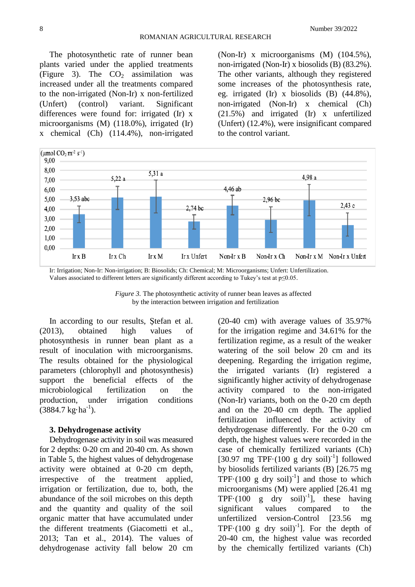The photosynthetic rate of runner bean plants varied under the applied treatments (Figure 3). The  $CO<sub>2</sub>$  assimilation was increased under all the treatments compared to the non-irrigated (Non-Ir) x non-fertilized (Unfert) (control) variant. Significant differences were found for: irrigated (Ir) x microorganisms (M) (118.0%), irrigated (Ir) x chemical (Ch) (114.4%), non-irrigated

(Non-Ir) x microorganisms (M) (104.5%), non-irrigated (Non-Ir) x biosolids (B) (83.2%). The other variants, although they registered some increases of the photosynthesis rate, eg. irrigated (Ir) x biosolids (B) (44.8%), non-irrigated (Non-Ir) x chemical (Ch) (21.5%) and irrigated (Ir) x unfertilized (Unfert) (12.4%), were insignificant compared to the control variant.



Ir: Irrigation; Non-Ir: Non-irrigation; B: Biosolids; Ch: Chemical; M: Microorganisms; Unfert: Unfertilization. Values associated to different letters are significantly different according to Tukey's test at p≤0.05.

*Figure 3.* The photosynthetic activity of runner bean leaves as affected by the interaction between irrigation and fertilization

In according to our results, Ştefan et al. (2013), obtained high values of photosynthesis in runner bean plant as a result of inoculation with microorganisms. The results obtained for the physiological parameters (chlorophyll and photosynthesis) support the beneficial effects of the microbiological fertilization on the production, under irrigation conditions  $(3884.7 \text{ kg} \cdot \text{ha}^{-1})$ .

### **3. Dehydrogenase activity**

Dehydrogenase activity in soil was measured for 2 depths: 0-20 cm and 20-40 cm. As shown in Table 5, the highest values of dehydrogenase activity were obtained at 0-20 cm depth, irrespective of the treatment applied, irrigation or fertilization, due to, both, the abundance of the soil microbes on this depth and the quantity and quality of the soil organic matter that have accumulated under the different treatments (Giacometti et al., 2013; Tan et al., 2014). The values of dehydrogenase activity fall below 20 cm

(20-40 cm) with average values of 35.97% for the irrigation regime and 34.61% for the fertilization regime, as a result of the weaker watering of the soil below 20 cm and its deepening. Regarding the irrigation regime, the irrigated variants (Ir) registered a significantly higher activity of dehydrogenase activity compared to the non-irrigated (Non-Ir) variants, both on the 0-20 cm depth and on the 20-40 cm depth. The applied fertilization influenced the activity of dehydrogenase differently. For the 0-20 cm depth, the highest values were recorded in the case of chemically fertilized variants (Ch) [30.97 mg TPF $\cdot$ (100 g dry soil)<sup>-1</sup>] followed by biosolids fertilized variants (B) [26.75 mg TPF $\cdot$ (100 g dry soil)<sup>-1</sup>] and those to which microorganisms (M) were applied [26.41 mg TPF $\cdot$ (100 g dry soil)<sup>-1</sup>], these having significant values compared to the unfertilized version-Control [23.56 mg TPF $\cdot$ (100 g dry soil)<sup>-1</sup>]. For the depth of 20-40 cm, the highest value was recorded by the chemically fertilized variants (Ch)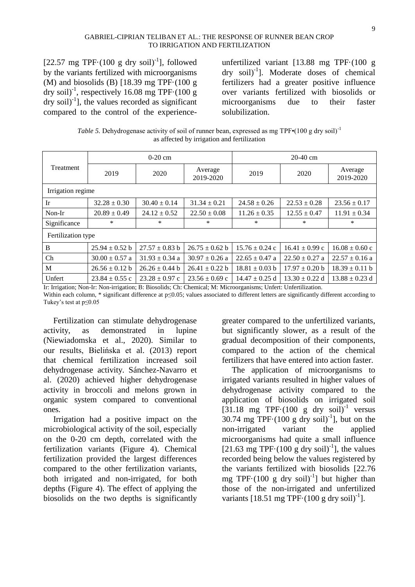#### GABRIEL-CIPRIAN TELIBAN ET AL.: THE RESPONSE OF RUNNER BEAN CROP TO IRRIGATION AND FERTILIZATION

[22.57 mg TPF $\cdot$ (100 g dry soil)<sup>-1</sup>], followed by the variants fertilized with microorganisms (M) and biosolids (B)  $[18.39 \text{ mg TPF} \cdot (100 \text{ g})]$ dry soil)<sup>-1</sup>, respectively 16.08 mg TPF $\cdot$ (100 g  $\text{dry soil}^{-1}$ ], the values recorded as significant compared to the control of the experience-

unfertilized variant [13.88 mg TPF·(100 g dry soil)<sup>-1</sup>]. Moderate doses of chemical fertilizers had a greater positive influence over variants fertilized with biosolids or microorganisms due to their faster solubilization.

*Table 5.* Dehydrogenase activity of soil of runner bean, expressed as mg TPF $\cdot$ (100 g dry soil)<sup>-1</sup> as affected by irrigation and fertilization

| Treatment          |                    | $0-20$ cm          |                      | $20-40$ cm         |                    |                      |  |
|--------------------|--------------------|--------------------|----------------------|--------------------|--------------------|----------------------|--|
|                    | 2019               | 2020               | Average<br>2019-2020 | 2019               | 2020               | Average<br>2019-2020 |  |
| Irrigation regime  |                    |                    |                      |                    |                    |                      |  |
| Ir                 | $32.28 \pm 0.30$   | $30.40 \pm 0.14$   | $31.34 \pm 0.21$     | $24.58 \pm 0.26$   | $22.53 \pm 0.28$   | $23.56 \pm 0.17$     |  |
| Non-Ir             | $20.89 \pm 0.49$   | $24.12 \pm 0.52$   | $22.50 \pm 0.08$     | $11.26 \pm 0.35$   | $12.55 \pm 0.47$   | $11.91 \pm 0.34$     |  |
| Significance       | $\ast$             | *                  | *                    | $\ast$             | $\ast$             | *                    |  |
| Fertilization type |                    |                    |                      |                    |                    |                      |  |
| B                  | $25.94 \pm 0.52$ b | $27.57 \pm 0.83$ b | $26.75 \pm 0.62$ b   | $15.76 \pm 0.24$ c | $16.41 \pm 0.99$ c | $16.08 \pm 0.60$ c   |  |
| $\rm Ch$           | $30.00 \pm 0.57$ a | $31.93 \pm 0.34$ a | $30.97 \pm 0.26$ a   | $22.65 \pm 0.47$ a | $22.50 \pm 0.27$ a | $22.57 \pm 0.16$ a   |  |
| M                  | $26.56 \pm 0.12$ b | $26.26 \pm 0.44$ b | $26.41 \pm 0.22$ b   | $18.81 \pm 0.03$ b | $17.97 \pm 0.20$ b | $18.39 \pm 0.11 b$   |  |
| Unfert             | $23.84 \pm 0.55$ c | $23.28 \pm 0.97$ c | $23.56 \pm 0.69$ c   | $14.47 \pm 0.25$ d | $13.30 \pm 0.22$ d | $13.88 \pm 0.23$ d   |  |

Ir: Irrigation; Non-Ir: Non-irrigation; B: Biosolids; Ch: Chemical; M: Microorganisms; Unfert: Unfertilization.

Within each column, \* significant difference at p≤0.05; values associated to different letters are significantly different according to Tukey's test at p≤0.05

Fertilization can stimulate dehydrogenase activity, as demonstrated in lupine (Niewiadomska et al., 2020). Similar to our results, Bielińska et al. (2013) report that chemical fertilization increased soil dehydrogenase activity. Sánchez-Navarro et al. (2020) achieved higher dehydrogenase activity in broccoli and melons grown in organic system compared to conventional ones.

Irrigation had a positive impact on the microbiological activity of the soil, especially on the 0-20 cm depth, correlated with the fertilization variants (Figure 4). Chemical fertilization provided the largest differences compared to the other fertilization variants, both irrigated and non-irrigated, for both depths (Figure 4). The effect of applying the biosolids on the two depths is significantly

greater compared to the unfertilized variants, but significantly slower, as a result of the gradual decomposition of their components, compared to the action of the chemical fertilizers that have entered into action faster.

The application of microorganisms to irrigated variants resulted in higher values of dehydrogenase activity compared to the application of biosolids on irrigated soil  $[31.18 \text{ mg TPF} \cdot (100 \text{ g dry soil})^{-1} \text{ versus}$ 30.74 mg TPF $\cdot$ (100 g dry soil)<sup>-1</sup>], but on the non-irrigated variant the applied microorganisms had quite a small influence [21.63 mg TPF $\cdot$ (100 g dry soil)<sup>-1</sup>], the values recorded being below the values registered by the variants fertilized with biosolids [22.76 mg TPF $\cdot$ (100 g dry soil)<sup>-1</sup>] but higher than those of the non-irrigated and unfertilized variants [18.51 mg TPF $\cdot$ (100 g dry soil)<sup>-1</sup>].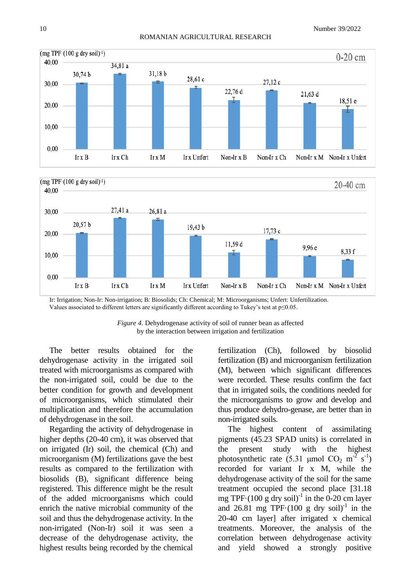



Ir: Irrigation; Non-Ir: Non-irrigation; B: Biosolids; Ch: Chemical; M: Microorganisms; Unfert: Unfertilization. Values associated to different letters are significantly different according to Tukey's test at p≤0.05.

*Figure 4.* Dehydrogenase activity of soil of runner bean as affected by the interaction between irrigation and fertilization

The better results obtained for the dehydrogenase activity in the irrigated soil treated with microorganisms as compared with the non-irrigated soil, could be due to the better condition for growth and development of microorganisms, which stimulated their multiplication and therefore the accumulation of dehydrogenase in the soil.

Regarding the activity of dehydrogenase in higher depths (20-40 cm), it was observed that on irrigated (Ir) soil, the chemical (Ch) and microorganism (M) fertilizations gave the best results as compared to the fertilization with biosolids (B), significant difference being registered. This difference might be the result of the added microorganisms which could enrich the native microbial community of the soil and thus the dehydrogenase activity. In the non-irrigated (Non-Ir) soil it was seen a decrease of the dehydrogenase activity, the highest results being recorded by the chemical

fertilization (Ch), followed by biosolid fertilization (B) and microorganism fertilization (M), between which significant differences were recorded. These results confirm the fact that in irrigated soils, the conditions needed for the microorganisms to grow and develop and thus produce dehydro-genase, are better than in non-irrigated soils.

The highest content of assimilating pigments (45.23 SPAD units) is correlated in the present study with the highest photosynthetic rate (5.31 µmol CO<sub>2</sub> m<sup>-2</sup> s<sup>-1</sup>) recorded for variant Ir x M, while the dehydrogenase activity of the soil for the same treatment occupied the second place [31.18 mg TPF $\cdot$ (100 g dry soil)<sup>-1</sup> in the 0-20 cm layer and  $26.81$  mg TPF $(100 \text{ g dry soil})^{-1}$  in the 20-40 cm layer] after irrigated x chemical treatments. Moreover, the analysis of the correlation between dehydrogenase activity and yield showed a strongly positive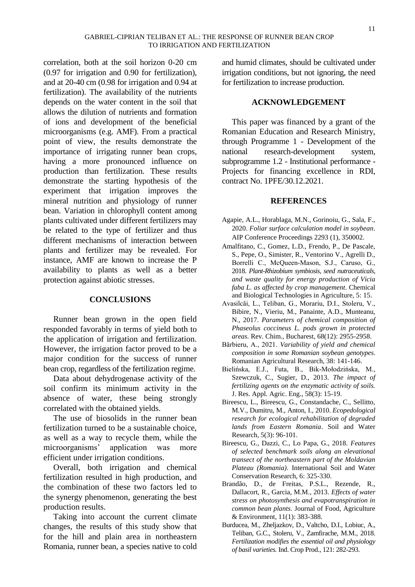correlation, both at the soil horizon 0-20 cm (0.97 for irrigation and 0.90 for fertilization), and at 20-40 cm (0.98 for irrigation and 0.94 at fertilization). The availability of the nutrients depends on the water content in the soil that allows the dilution of nutrients and formation of ions and development of the beneficial microorganisms (e.g. AMF). From a practical point of view, the results demonstrate the importance of irrigating runner bean crops, having a more pronounced influence on production than fertilization. These results demonstrate the starting hypothesis of the experiment that irrigation improves the mineral nutrition and physiology of runner bean. Variation in chlorophyll content among plants cultivated under different fertilizers may be related to the type of fertilizer and thus different mechanisms of interaction between plants and fertilizer may be revealed. For instance, AMF are known to increase the P availability to plants as well as a better protection against abiotic stresses.

### **CONCLUSIONS**

Runner bean grown in the open field responded favorably in terms of yield both to the application of irrigation and fertilization. However, the irrigation factor proved to be a major condition for the success of runner bean crop, regardless of the fertilization regime.

Data about dehydrogenase activity of the soil confirm its minimum activity in the absence of water, these being strongly correlated with the obtained yields.

The use of biosolids in the runner bean fertilization turned to be a sustainable choice, as well as a way to recycle them, while the microorganisms' application was more efficient under irrigation conditions.

Overall, both irrigation and chemical fertilization resulted in high production, and the combination of these two factors led to the synergy phenomenon, generating the best production results.

Taking into account the current climate changes, the results of this study show that for the hill and plain area in northeastern Romania, runner bean, a species native to cold and humid climates, should be cultivated under irrigation conditions, but not ignoring, the need for fertilization to increase production.

### **ACKNOWLEDGEMENT**

This paper was financed by a grant of the Romanian Education and Research Ministry, through Programme 1 - Development of the national research-development system, subprogramme 1.2 - Institutional performance - Projects for financing excellence in RDI, contract No. 1PFE/30.12.2021.

### **REFERENCES**

- Agapie, A.L., Horablaga, M.N., Gorinoiu, G., Sala, F., 2020. *Foliar surface calculation model in soybean*. AIP Conference Proceedings 2293 (1), 350002.
- Amalfitano, C., Gomez, L.D., Frendo, P., De Pascale, S., Pepe, O., Simister, R., Ventorino V., Agrelli D., Borrelli C., McQueen‑Mason, S.J., Caruso, G., 2018. *Plant-Rhizobium symbiosis, seed nutraceuticals, and waste quality for energy production of Vicia faba L. as affected by crop management*. Chemical and Biological Technologies in Agriculture, 5: 15.
- Avasilcăi, L., Teliban, G., Morariu, D.I., Stoleru, V., Bibire, N., Vieriu, M., Panainte, A.D., Munteanu, N., 2017. *Parameters of chemical composition of Phaseolus coccineus L. pods grown in protected areas.* Rev. Chim., Bucharest, 68(12): 2955-2958.
- Bărbieru, A., 2021. *Variability of yield and chemical composition in some Romanian soybean genotypes*. Romanian Agricultural Research, 38: 141-146.
- Bielińska, E.J., Futa, B., Bik-Mołodzińska, M., Szewczuk, C., Sugier, D., 2013. *The impact of fertilizing agents on the enzymatic activity of soils.* J. Res. Appl. Agric. Eng., 58(3): 15-19.
- Bireescu, L., Bireescu, G., Constandache, C., Sellitto, M.V., Dumitru, M., Anton, I., 2010. *Ecopedological research for ecological rehabilitation of degraded lands from Eastern Romania*. Soil and Water Research, 5(3): 96-101.
- Bireescu, G., Dazzi, C., Lo Papa, G., 2018. *Features of selected benchmark soils along an elevational transect of the northeastern part of the Moldavian Plateau (Romania)*. International Soil and Water Conservation Research, 6: 325-330.
- Brandão, D., de Freitas, P.S.L., Rezende, R., Dallacort, R., Garcia, M.M., 2013. *Effects of water stress on photosynthesis and evapotranspiration in common bean plants*. Journal of Food, Agriculture & Environment, 11(1): 383-388.
- Burducea, M., Zheljazkov, D., Valtcho, D.I., Lobiuc, A., Teliban, G.C., Stoleru, V., Zamfirache, M.M., 2018. *Fertilization modifies the essential oil and physiology of basil varieties.* Ind. Crop Prod., 121: 282-293.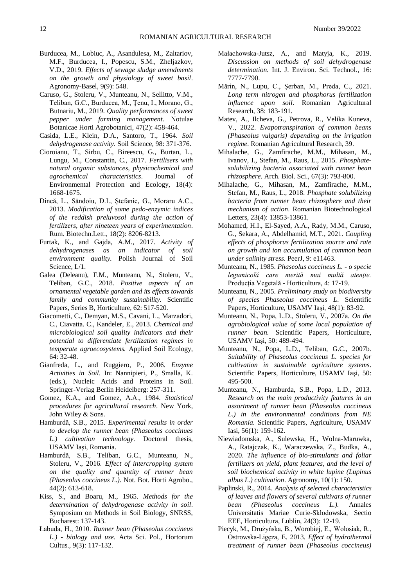- Burducea, M., Lobiuc, A., Asandulesa, M., Zaltariov, M.F., Burducea, I., Popescu, S.M., Zheljazkov, V.D., 2019. *Effects of sewage sludge amendments on the growth and physiology of sweet basil*. Agronomy-Basel, 9(9): 548.
- Caruso, G., Stoleru, V., Munteanu, N., Sellitto, V.M., Teliban, G.C., Burducea, M., Țenu, I., Morano, G., Butnariu, M., 2019. *Quality performances of sweet pepper under farming management*. Notulae Botanicae Horti Agrobotanici, 47(2): 458-464.
- Casida, L.E., Klein, D.A., Santoro, T., 1964. *Soil dehydrogenase activity.* Soil Science, 98: 371-376.
- Cioroianu, T., Sirbu, C., Bireescu, G., Burtan, L., Lungu, M., Constantin, C., 2017. *Fertilisers with natural organic substances, physicochemical and agrochemical characteristics*. Journal of Environmental Protection and Ecology, 18(4): 1668-1675.
- Dincă, L., Săndoiu, D.I., Ștefanic, G., Moraru A.C., 2013. *Modification of some pedo-enzymic indices of the reddish preluvosol during the action of fertilizers, after nineteen years of experimentation*. Rum. Biotechn.Lett., 18(2): 8206-8213.
- Furtak, K., and Gajda, A.M., 2017. *Activity of dehydrogenases as an indicator of soil environment quality.* Polish Journal of Soil Science, L/1.
- Galea (Deleanu), F.M., Munteanu, N., Stoleru, V., Teliban, G.C., 2018. *Positive aspects of an ornamental vegetable garden and its effects towards family and community sustainability.* Scientific Papers, Series B, Horticulture, 62: 517-520.
- Giacometti, C., Demyan, M.S., Cavani, L., Marzadori, C., Ciavatta. C., Kandeler, E., 2013. *Chemical and microbiological soil quality indicators and their potential to differentiate fertilization regimes in temperate agroecosystems.* Applied Soil Ecology, 64: 32-48.
- Gianfreda, L., and Ruggiero, P., 2006. *Enzyme Activities in Soil*. In: Nannipieri, P., Smalla, K. (eds.), Nucleic Acids and Proteins in Soil. Springer-Verlag Berlin Heidelberg: 257-311.
- Gomez, K.A., and Gomez, A.A., 1984. *Statistical procedures for agricultural research*. New York, John Wiley & Sons.
- Hamburdă, S.B., 2015. *Experimental results in order to develop the runner bean (Phaseolus coccinues L.) cultivation technology.* Doctoral thesis, USAMV Iaşi, Romania.
- Hamburdă, S.B., Teliban, G.C., Munteanu, N., Stoleru, V., 2016. *Effect of intercropping system on the quality and quantity of runner bean (Phaseolus coccineus L.).* Not. Bot. Horti Agrobo., 44(2): 613-618.
- Kiss, S., and Boaru, M., 1965. *Methods for the determination of dehydrogenase activity in soil*. Symposium on Methods in Soil Biology, SNRSS, Bucharest: 137-143.
- Łabuda, H., 2010. *Runner bean (Phaseolus coccineus L.) - biology and use.* Acta Sci. Pol., Hortorum Cultus., 9(3): 117-132.
- Małachowska-Jutsz, A., and Matyja, K., 2019. *Discussion on methods of soil dehydrogenase determination.* Int. J. Environ. Sci. Technol., 16: 7777-7790.
- Mărin, N., Lupu, C., Șerban, M., Preda, C., 2021. *Long term nitrogen and phosphorus fertilization influence upon soil*. Romanian Agricultural Research, 38: 183-191.
- Matev, A., Ilcheva, G., Petrova, R., Velika Kuneva, V., 2022. *Evapotranspiration of common beans (Phaseolus vulgaris) depending on the irrigation regime*. Romanian Agricultural Research, 39.
- Mihalache, G., Zamfirache, M.M., Mihasan, M., Ivanov, I., Stefan, M., Raus, L., 2015. *Phosphatesolubilizing bacteria associated with runner bean rhizosphere*. Arch. Biol. Sci., 67(3): 793-800.
- Mihalache, G., Mihasan, M., Zamfirache, M.M., Stefan, M., Raus, L., 2018. *Phosphate solubilizing bacteria from runner bean rhizosphere and their mechanism of action*. Romanian Biotechnological Letters, 23(4): 13853-13861.
- Mohamed, H.I., El-Sayed, A.A., Rady, M.M., Caruso, G., Sekara, A., Abdelhamid, M.T., 2021. *Coupling effects of phosphorus fertilization source and rate on growth and ion accumulation of common bean under salinity stress*. PeerJ, 9: e11463.
- Munteanu, N., 1985. *Phaseolus coccineus L. - o specie legumicolă care merită mai multă atenţie.* Producţia Vegetală - Horticultura, 4: 17-19.
- Munteanu, N., 2005. *Preliminary study on biodiversity of species Phaseolus coccineus L*. Scientific Papers, Horticulture, USAMV Iaşi, 48(1): 83-92.
- Munteanu, N., Popa, L.D., Stoleru, V., 2007a. *On the agrobiological value of some local population of runner bean.* Scientific Papers, Horticulture, USAMV Iaşi, 50: 489-494.
- Munteanu, N., Popa, L.D., Teliban, G.C., 2007b*. Suitability of Phaseolus coccineus L. species for cultivation in sustainable agriculture systems*. Scientific Papers, Horticulture, USAMV Iaşi, 50: 495-500.
- Munteanu, N., Hamburda, S.B., Popa, L.D., 2013. *Research on the main productivity features in an assortment of runner bean (Phaseolus coccineus L.) in the environmental conditions from NE Romania.* Scientific Papers, Agriculture, USAMV Iasi, 56(1): 159-162.
- Niewiadomska, A., Sulewska, H., Wolna-Maruwka, A., Ratajczak, K., Waraczewska, Z., Budka, A., 2020. *The influence of bio-stimulants and foliar fertilizers on yield, plant features, and the level of soil biochemical activity in white lupine (Lupinus albus L.) cultivation*. Agronomy, 10(1): 150.
- Paplinski, R., 2014. *Analysis of selected characteristics of leaves and flowers of several cultivars of runner bean (Phaseolus coccineus L.).* [Annales](http://yadda.icm.edu.pl/yadda/element/bwmeta1.element.agro-journal-225e544b-a321-4a5c-9150-e240f6788735)  [Universitatis Mariae Curie-Skłodowska, Sectio](http://yadda.icm.edu.pl/yadda/element/bwmeta1.element.agro-journal-225e544b-a321-4a5c-9150-e240f6788735)  [EEE, Horticultura,](http://yadda.icm.edu.pl/yadda/element/bwmeta1.element.agro-journal-225e544b-a321-4a5c-9150-e240f6788735) Lublin, 24(3): 12-19.
- Piecyk, M., [Drużyńska, B.,](https://www.sciencedirect.com/science/article/pii/S0963996912004681?via%3Dihub#!) [Worobiej, E.,](https://www.sciencedirect.com/science/article/pii/S0963996912004681?via%3Dihub#!) [Wołosiak, R.,](https://www.sciencedirect.com/science/article/pii/S0963996912004681?via%3Dihub#!)  [Ostrowska-Ligęza,](https://www.sciencedirect.com/science/article/pii/S0963996912004681?via%3Dihub#!) E. 2013. *Effect of hydrothermal treatment of runner bean (Phaseolus coccineus)*